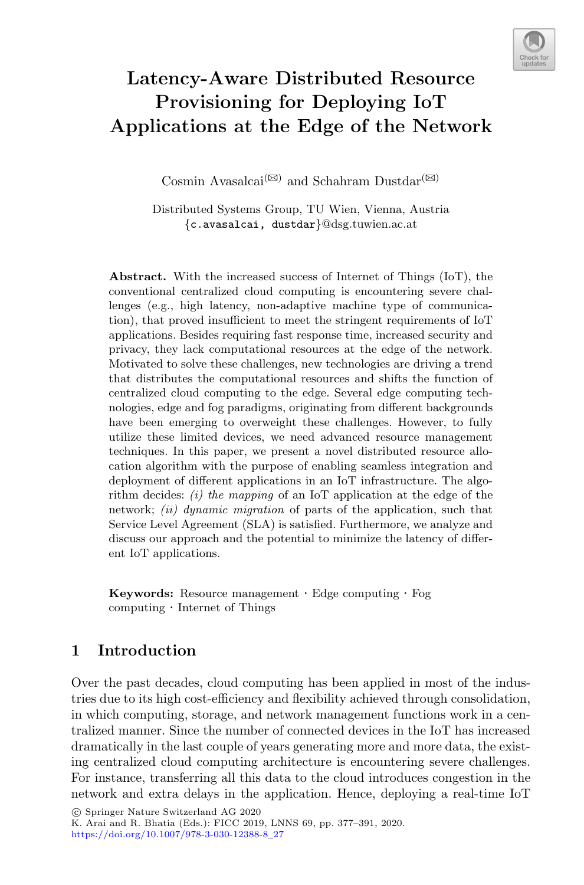

# **Latency-Aware Distributed Resource Provisioning for Deploying IoT Applications at the Edge of the Network**

Cosmin Avasalcai<sup>( $\boxtimes$ )</sup> and Schahram Dustdar<sup>( $\boxtimes$ )</sup>

Distributed Systems Group, TU Wien, Vienna, Austria *{*c.avasalcai, dustdar*}*@dsg.tuwien.ac.at

**Abstract.** With the increased success of Internet of Things (IoT), the conventional centralized cloud computing is encountering severe challenges (e.g., high latency, non-adaptive machine type of communication), that proved insufficient to meet the stringent requirements of IoT applications. Besides requiring fast response time, increased security and privacy, they lack computational resources at the edge of the network. Motivated to solve these challenges, new technologies are driving a trend that distributes the computational resources and shifts the function of centralized cloud computing to the edge. Several edge computing technologies, edge and fog paradigms, originating from different backgrounds have been emerging to overweight these challenges. However, to fully utilize these limited devices, we need advanced resource management techniques. In this paper, we present a novel distributed resource allocation algorithm with the purpose of enabling seamless integration and deployment of different applications in an IoT infrastructure. The algorithm decides: *(i) the mapping* of an IoT application at the edge of the network; *(ii) dynamic migration* of parts of the application, such that Service Level Agreement (SLA) is satisfied. Furthermore, we analyze and discuss our approach and the potential to minimize the latency of different IoT applications.

**Keywords:** Resource management *·* Edge computing *·* Fog computing *·* Internet of Things

# **1 Introduction**

Over the past decades, cloud computing has been applied in most of the industries due to its high cost-efficiency and flexibility achieved through consolidation, in which computing, storage, and network management functions work in a centralized manner. Since the number of connected devices in the IoT has increased dramatically in the last couple of years generating more and more data, the existing centralized cloud computing architecture is encountering severe challenges. For instance, transferring all this data to the cloud introduces congestion in the network and extra delays in the application. Hence, deploying a real-time IoT

-c Springer Nature Switzerland AG 2020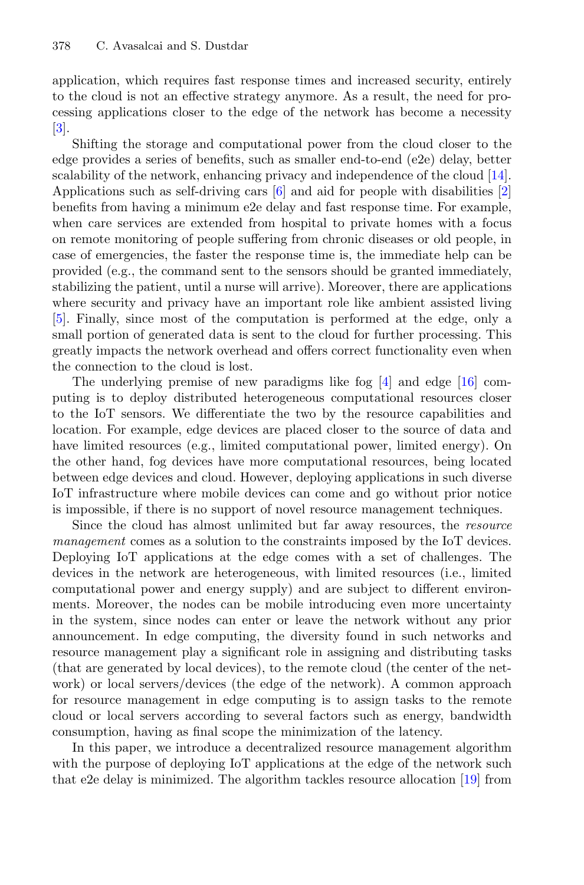application, which requires fast response times and increased security, entirely to the cloud is not an effective strategy anymore. As a result, the need for processing applications closer to the edge of the network has become a necessity  $|3|$ .

Shifting the storage and computational power from the cloud closer to the edge provides a series of benefits, such as smaller end-to-end (e2e) delay, better scalability of the network, enhancing privacy and independence of the cloud [\[14\]](#page-14-1). Applications such as self-driving cars [\[6\]](#page-14-2) and aid for people with disabilities [\[2](#page-13-0)] benefits from having a minimum e2e delay and fast response time. For example, when care services are extended from hospital to private homes with a focus on remote monitoring of people suffering from chronic diseases or old people, in case of emergencies, the faster the response time is, the immediate help can be provided (e.g., the command sent to the sensors should be granted immediately, stabilizing the patient, until a nurse will arrive). Moreover, there are applications where security and privacy have an important role like ambient assisted living [\[5](#page-14-3)]. Finally, since most of the computation is performed at the edge, only a small portion of generated data is sent to the cloud for further processing. This greatly impacts the network overhead and offers correct functionality even when the connection to the cloud is lost.

The underlying premise of new paradigms like fog [\[4\]](#page-14-4) and edge [\[16\]](#page-14-5) computing is to deploy distributed heterogeneous computational resources closer to the IoT sensors. We differentiate the two by the resource capabilities and location. For example, edge devices are placed closer to the source of data and have limited resources (e.g., limited computational power, limited energy). On the other hand, fog devices have more computational resources, being located between edge devices and cloud. However, deploying applications in such diverse IoT infrastructure where mobile devices can come and go without prior notice is impossible, if there is no support of novel resource management techniques.

Since the cloud has almost unlimited but far away resources, the *resource management* comes as a solution to the constraints imposed by the IoT devices. Deploying IoT applications at the edge comes with a set of challenges. The devices in the network are heterogeneous, with limited resources (i.e., limited computational power and energy supply) and are subject to different environments. Moreover, the nodes can be mobile introducing even more uncertainty in the system, since nodes can enter or leave the network without any prior announcement. In edge computing, the diversity found in such networks and resource management play a significant role in assigning and distributing tasks (that are generated by local devices), to the remote cloud (the center of the network) or local servers/devices (the edge of the network). A common approach for resource management in edge computing is to assign tasks to the remote cloud or local servers according to several factors such as energy, bandwidth consumption, having as final scope the minimization of the latency.

In this paper, we introduce a decentralized resource management algorithm with the purpose of deploying IoT applications at the edge of the network such that e2e delay is minimized. The algorithm tackles resource allocation [\[19](#page-14-6)] from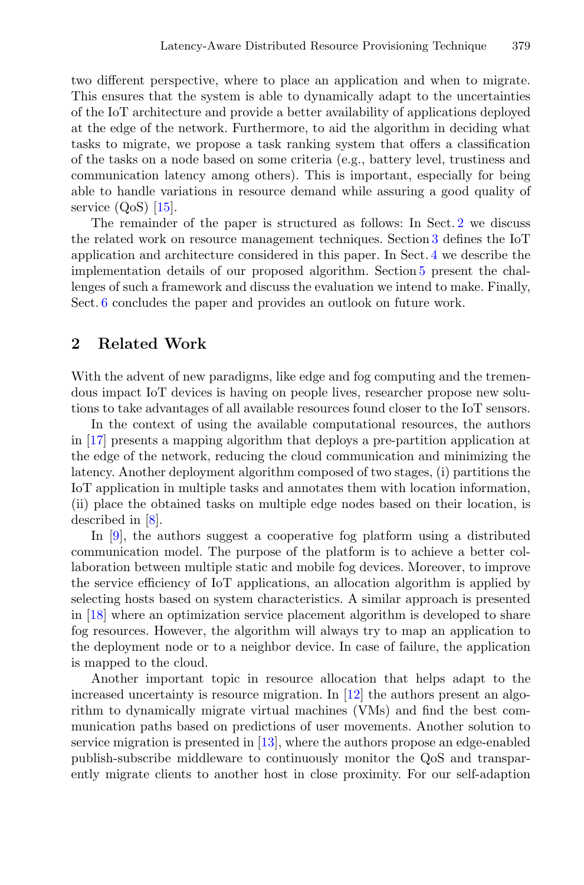two different perspective, where to place an application and when to migrate. This ensures that the system is able to dynamically adapt to the uncertainties of the IoT architecture and provide a better availability of applications deployed at the edge of the network. Furthermore, to aid the algorithm in deciding what tasks to migrate, we propose a task ranking system that offers a classification of the tasks on a node based on some criteria (e.g., battery level, trustiness and communication latency among others). This is important, especially for being able to handle variations in resource demand while assuring a good quality of service (QoS) [\[15](#page-14-7)].

The remainder of the paper is structured as follows: In Sect. [2](#page-2-0) we discuss the related work on resource management techniques. Section [3](#page-3-0) defines the IoT application and architecture considered in this paper. In Sect. [4](#page-4-0) we describe the implementation details of our proposed algorithm. Section [5](#page-11-0) present the challenges of such a framework and discuss the evaluation we intend to make. Finally, Sect. [6](#page-13-1) concludes the paper and provides an outlook on future work.

## <span id="page-2-0"></span>**2 Related Work**

With the advent of new paradigms, like edge and fog computing and the tremendous impact IoT devices is having on people lives, researcher propose new solutions to take advantages of all available resources found closer to the IoT sensors.

In the context of using the available computational resources, the authors in [\[17\]](#page-14-8) presents a mapping algorithm that deploys a pre-partition application at the edge of the network, reducing the cloud communication and minimizing the latency. Another deployment algorithm composed of two stages, (i) partitions the IoT application in multiple tasks and annotates them with location information, (ii) place the obtained tasks on multiple edge nodes based on their location, is described in [\[8](#page-14-9)].

In [\[9\]](#page-14-10), the authors suggest a cooperative fog platform using a distributed communication model. The purpose of the platform is to achieve a better collaboration between multiple static and mobile fog devices. Moreover, to improve the service efficiency of IoT applications, an allocation algorithm is applied by selecting hosts based on system characteristics. A similar approach is presented in [\[18\]](#page-14-11) where an optimization service placement algorithm is developed to share fog resources. However, the algorithm will always try to map an application to the deployment node or to a neighbor device. In case of failure, the application is mapped to the cloud.

Another important topic in resource allocation that helps adapt to the increased uncertainty is resource migration. In [\[12](#page-14-12)] the authors present an algorithm to dynamically migrate virtual machines (VMs) and find the best communication paths based on predictions of user movements. Another solution to service migration is presented in [\[13\]](#page-14-13), where the authors propose an edge-enabled publish-subscribe middleware to continuously monitor the QoS and transparently migrate clients to another host in close proximity. For our self-adaption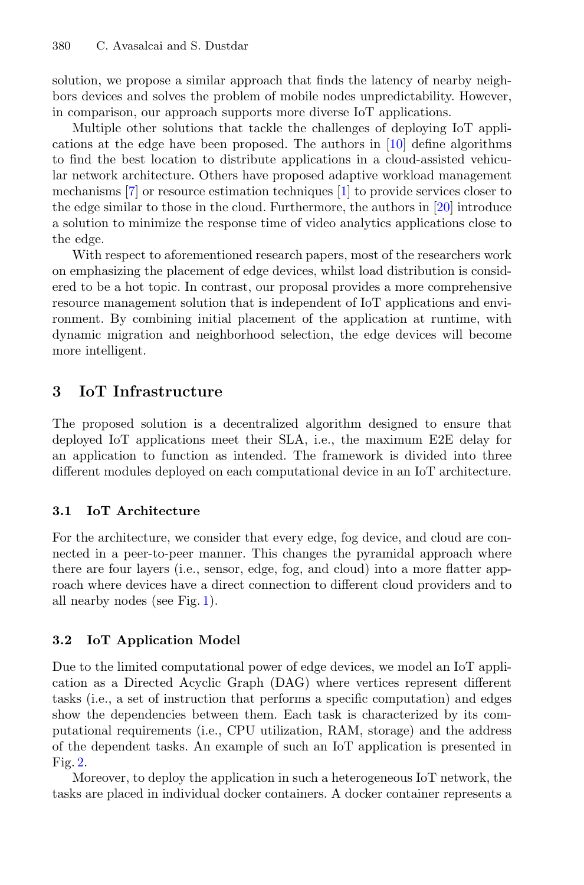solution, we propose a similar approach that finds the latency of nearby neighbors devices and solves the problem of mobile nodes unpredictability. However, in comparison, our approach supports more diverse IoT applications.

Multiple other solutions that tackle the challenges of deploying IoT applications at the edge have been proposed. The authors in [\[10](#page-14-14)] define algorithms to find the best location to distribute applications in a cloud-assisted vehicular network architecture. Others have proposed adaptive workload management mechanisms [\[7\]](#page-14-15) or resource estimation techniques [\[1](#page-13-2)] to provide services closer to the edge similar to those in the cloud. Furthermore, the authors in [\[20\]](#page-14-16) introduce a solution to minimize the response time of video analytics applications close to the edge.

With respect to aforementioned research papers, most of the researchers work on emphasizing the placement of edge devices, whilst load distribution is considered to be a hot topic. In contrast, our proposal provides a more comprehensive resource management solution that is independent of IoT applications and environment. By combining initial placement of the application at runtime, with dynamic migration and neighborhood selection, the edge devices will become more intelligent.

# <span id="page-3-0"></span>**3 IoT Infrastructure**

The proposed solution is a decentralized algorithm designed to ensure that deployed IoT applications meet their SLA, i.e., the maximum E2E delay for an application to function as intended. The framework is divided into three different modules deployed on each computational device in an IoT architecture.

### **3.1 IoT Architecture**

For the architecture, we consider that every edge, fog device, and cloud are connected in a peer-to-peer manner. This changes the pyramidal approach where there are four layers (i.e., sensor, edge, fog, and cloud) into a more flatter approach where devices have a direct connection to different cloud providers and to all nearby nodes (see Fig. [1\)](#page-4-1).

### **3.2 IoT Application Model**

Due to the limited computational power of edge devices, we model an IoT application as a Directed Acyclic Graph (DAG) where vertices represent different tasks (i.e., a set of instruction that performs a specific computation) and edges show the dependencies between them. Each task is characterized by its computational requirements (i.e., CPU utilization, RAM, storage) and the address of the dependent tasks. An example of such an IoT application is presented in Fig. [2.](#page-5-0)

Moreover, to deploy the application in such a heterogeneous IoT network, the tasks are placed in individual docker containers. A docker container represents a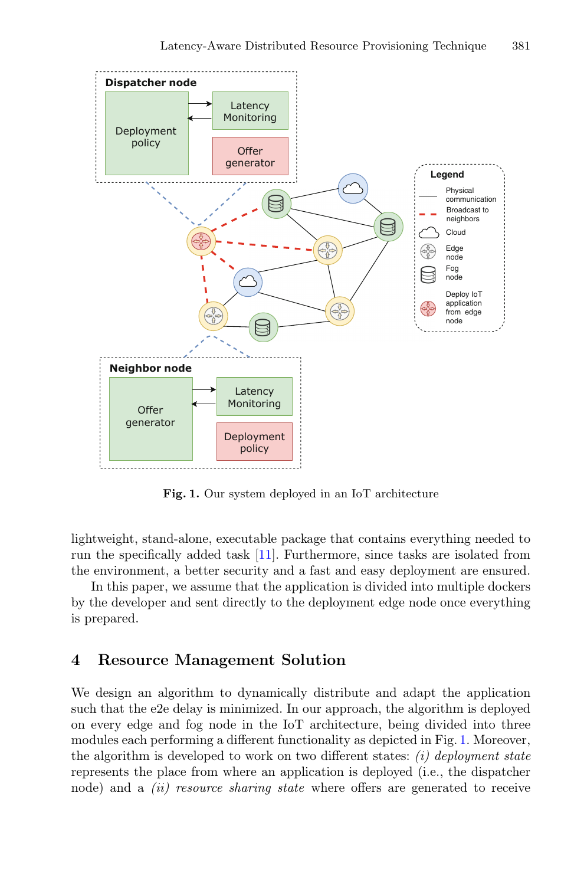

<span id="page-4-1"></span>**Fig. 1.** Our system deployed in an IoT architecture

lightweight, stand-alone, executable package that contains everything needed to run the specifically added task [\[11\]](#page-14-17). Furthermore, since tasks are isolated from the environment, a better security and a fast and easy deployment are ensured.

In this paper, we assume that the application is divided into multiple dockers by the developer and sent directly to the deployment edge node once everything is prepared.

### <span id="page-4-0"></span>**4 Resource Management Solution**

We design an algorithm to dynamically distribute and adapt the application such that the e2e delay is minimized. In our approach, the algorithm is deployed on every edge and fog node in the IoT architecture, being divided into three modules each performing a different functionality as depicted in Fig. [1.](#page-4-1) Moreover, the algorithm is developed to work on two different states: *(i) deployment state* represents the place from where an application is deployed (i.e., the dispatcher node) and a *(ii) resource sharing state* where offers are generated to receive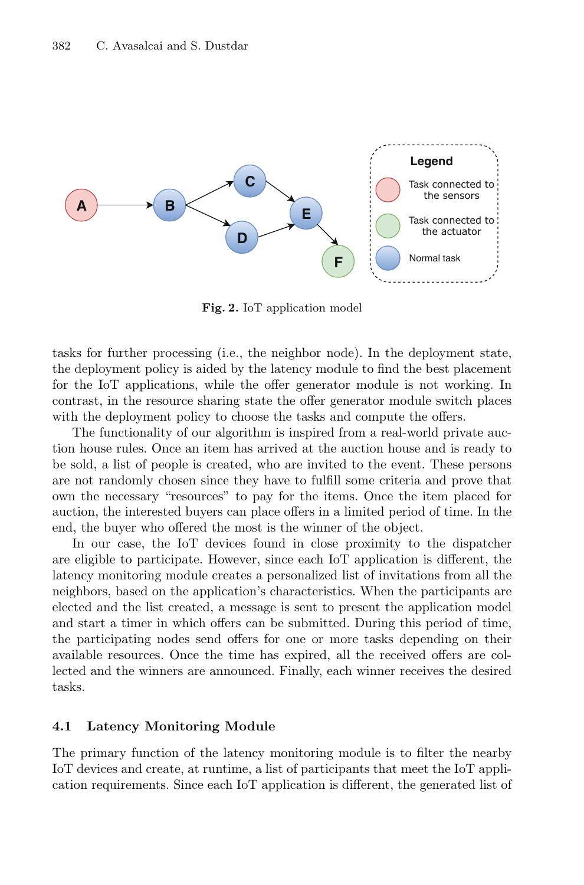

<span id="page-5-0"></span>**Fig. 2.** IoT application model

tasks for further processing (i.e., the neighbor node). In the deployment state, the deployment policy is aided by the latency module to find the best placement for the IoT applications, while the offer generator module is not working. In contrast, in the resource sharing state the offer generator module switch places with the deployment policy to choose the tasks and compute the offers.

The functionality of our algorithm is inspired from a real-world private auction house rules. Once an item has arrived at the auction house and is ready to be sold, a list of people is created, who are invited to the event. These persons are not randomly chosen since they have to fulfill some criteria and prove that own the necessary "resources" to pay for the items. Once the item placed for auction, the interested buyers can place offers in a limited period of time. In the end, the buyer who offered the most is the winner of the object.

In our case, the IoT devices found in close proximity to the dispatcher are eligible to participate. However, since each IoT application is different, the latency monitoring module creates a personalized list of invitations from all the neighbors, based on the application's characteristics. When the participants are elected and the list created, a message is sent to present the application model and start a timer in which offers can be submitted. During this period of time, the participating nodes send offers for one or more tasks depending on their available resources. Once the time has expired, all the received offers are collected and the winners are announced. Finally, each winner receives the desired tasks.

#### **4.1 Latency Monitoring Module**

The primary function of the latency monitoring module is to filter the nearby IoT devices and create, at runtime, a list of participants that meet the IoT application requirements. Since each IoT application is different, the generated list of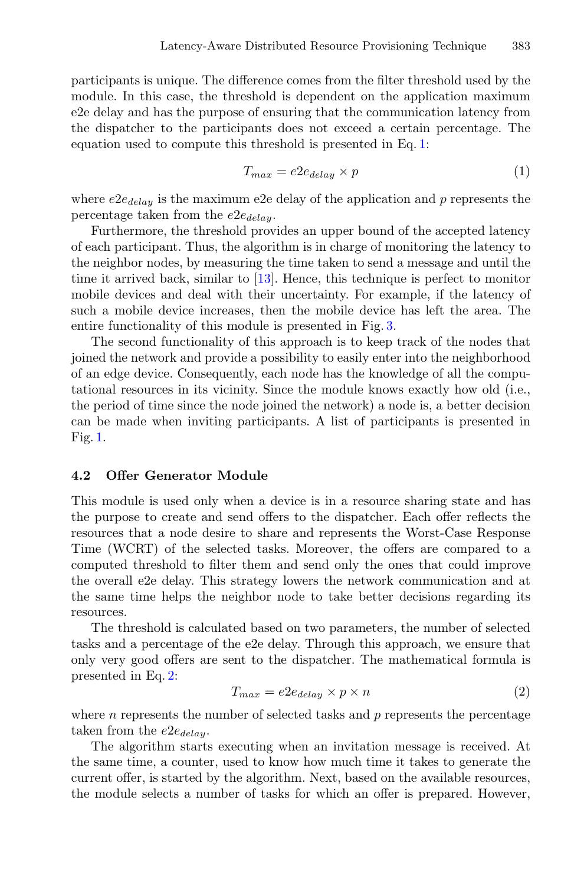participants is unique. The difference comes from the filter threshold used by the module. In this case, the threshold is dependent on the application maximum e2e delay and has the purpose of ensuring that the communication latency from the dispatcher to the participants does not exceed a certain percentage. The equation used to compute this threshold is presented in Eq. [1:](#page-6-0)

<span id="page-6-0"></span>
$$
T_{max} = e2e_{delay} \times p \tag{1}
$$

where  $e^{i\theta}e_{delay}$  is the maximum e2e delay of the application and p represents the percentage taken from the *e*2*edelay*.

Furthermore, the threshold provides an upper bound of the accepted latency of each participant. Thus, the algorithm is in charge of monitoring the latency to the neighbor nodes, by measuring the time taken to send a message and until the time it arrived back, similar to [\[13\]](#page-14-13). Hence, this technique is perfect to monitor mobile devices and deal with their uncertainty. For example, if the latency of such a mobile device increases, then the mobile device has left the area. The entire functionality of this module is presented in Fig. [3.](#page-7-0)

The second functionality of this approach is to keep track of the nodes that joined the network and provide a possibility to easily enter into the neighborhood of an edge device. Consequently, each node has the knowledge of all the computational resources in its vicinity. Since the module knows exactly how old (i.e., the period of time since the node joined the network) a node is, a better decision can be made when inviting participants. A list of participants is presented in Fig. [1.](#page-4-1)

#### **4.2 Offer Generator Module**

This module is used only when a device is in a resource sharing state and has the purpose to create and send offers to the dispatcher. Each offer reflects the resources that a node desire to share and represents the Worst-Case Response Time (WCRT) of the selected tasks. Moreover, the offers are compared to a computed threshold to filter them and send only the ones that could improve the overall e2e delay. This strategy lowers the network communication and at the same time helps the neighbor node to take better decisions regarding its resources.

The threshold is calculated based on two parameters, the number of selected tasks and a percentage of the e2e delay. Through this approach, we ensure that only very good offers are sent to the dispatcher. The mathematical formula is presented in Eq. [2:](#page-6-1)

<span id="page-6-1"></span>
$$
T_{max} = e2e_{delay} \times p \times n \tag{2}
$$

where *n* represents the number of selected tasks and *p* represents the percentage taken from the *e*2*edelay*.

The algorithm starts executing when an invitation message is received. At the same time, a counter, used to know how much time it takes to generate the current offer, is started by the algorithm. Next, based on the available resources, the module selects a number of tasks for which an offer is prepared. However,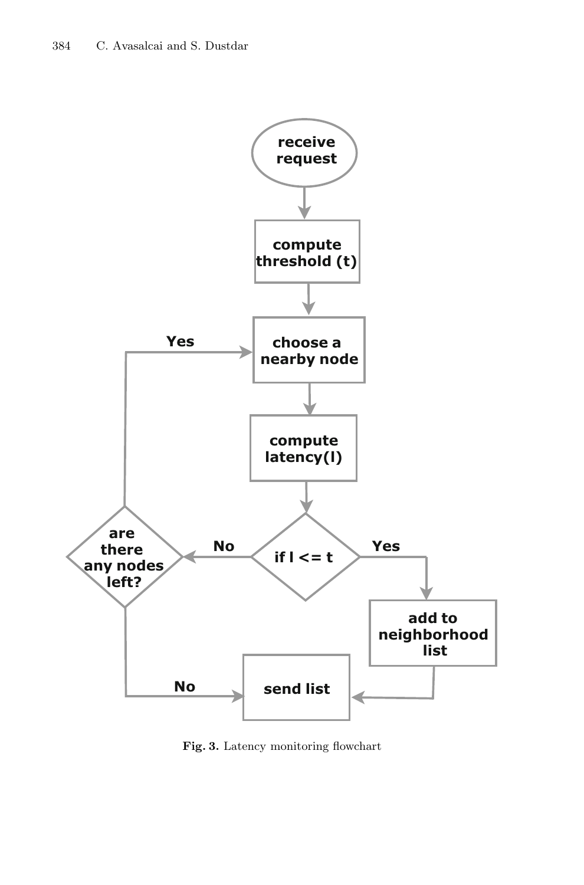

<span id="page-7-0"></span>**Fig. 3.** Latency monitoring flowchart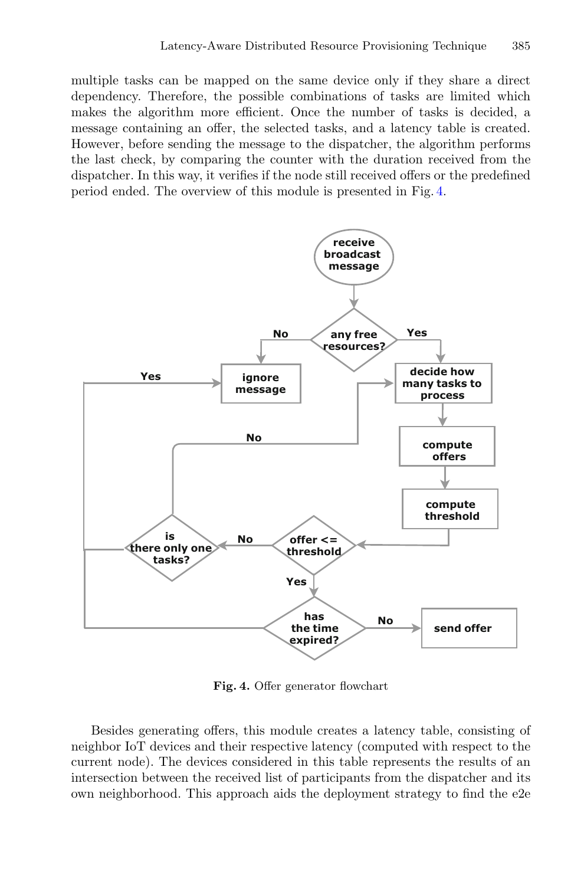multiple tasks can be mapped on the same device only if they share a direct dependency. Therefore, the possible combinations of tasks are limited which makes the algorithm more efficient. Once the number of tasks is decided, a message containing an offer, the selected tasks, and a latency table is created. However, before sending the message to the dispatcher, the algorithm performs the last check, by comparing the counter with the duration received from the dispatcher. In this way, it verifies if the node still received offers or the predefined period ended. The overview of this module is presented in Fig. [4.](#page-8-0)



<span id="page-8-0"></span>**Fig. 4.** Offer generator flowchart

Besides generating offers, this module creates a latency table, consisting of neighbor IoT devices and their respective latency (computed with respect to the current node). The devices considered in this table represents the results of an intersection between the received list of participants from the dispatcher and its own neighborhood. This approach aids the deployment strategy to find the e2e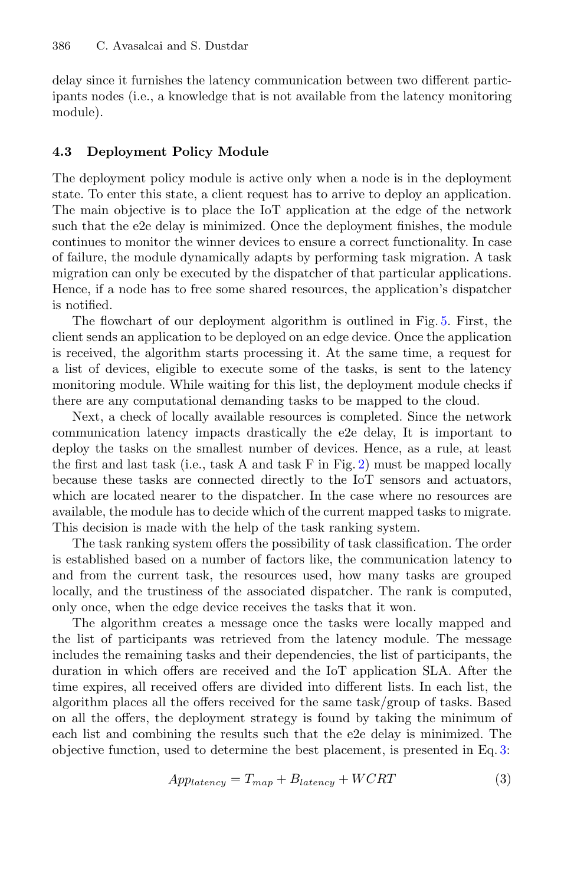delay since it furnishes the latency communication between two different participants nodes (i.e., a knowledge that is not available from the latency monitoring module).

## **4.3 Deployment Policy Module**

The deployment policy module is active only when a node is in the deployment state. To enter this state, a client request has to arrive to deploy an application. The main objective is to place the IoT application at the edge of the network such that the e2e delay is minimized. Once the deployment finishes, the module continues to monitor the winner devices to ensure a correct functionality. In case of failure, the module dynamically adapts by performing task migration. A task migration can only be executed by the dispatcher of that particular applications. Hence, if a node has to free some shared resources, the application's dispatcher is notified.

The flowchart of our deployment algorithm is outlined in Fig. [5.](#page-10-0) First, the client sends an application to be deployed on an edge device. Once the application is received, the algorithm starts processing it. At the same time, a request for a list of devices, eligible to execute some of the tasks, is sent to the latency monitoring module. While waiting for this list, the deployment module checks if there are any computational demanding tasks to be mapped to the cloud.

Next, a check of locally available resources is completed. Since the network communication latency impacts drastically the e2e delay, It is important to deploy the tasks on the smallest number of devices. Hence, as a rule, at least the first and last task (i.e., task A and task F in Fig. [2\)](#page-5-0) must be mapped locally because these tasks are connected directly to the IoT sensors and actuators, which are located nearer to the dispatcher. In the case where no resources are available, the module has to decide which of the current mapped tasks to migrate. This decision is made with the help of the task ranking system.

The task ranking system offers the possibility of task classification. The order is established based on a number of factors like, the communication latency to and from the current task, the resources used, how many tasks are grouped locally, and the trustiness of the associated dispatcher. The rank is computed, only once, when the edge device receives the tasks that it won.

The algorithm creates a message once the tasks were locally mapped and the list of participants was retrieved from the latency module. The message includes the remaining tasks and their dependencies, the list of participants, the duration in which offers are received and the IoT application SLA. After the time expires, all received offers are divided into different lists. In each list, the algorithm places all the offers received for the same task/group of tasks. Based on all the offers, the deployment strategy is found by taking the minimum of each list and combining the results such that the e2e delay is minimized. The objective function, used to determine the best placement, is presented in Eq. [3:](#page-9-0)

<span id="page-9-0"></span>
$$
Applatency = Tmap + Blatency + WCRT
$$
\n(3)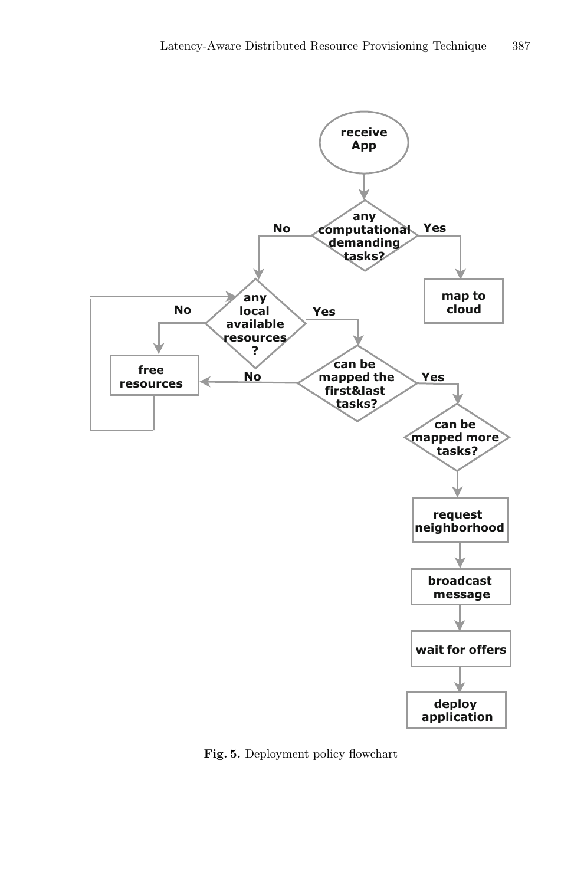

<span id="page-10-0"></span>**Fig. 5.** Deployment policy flowchart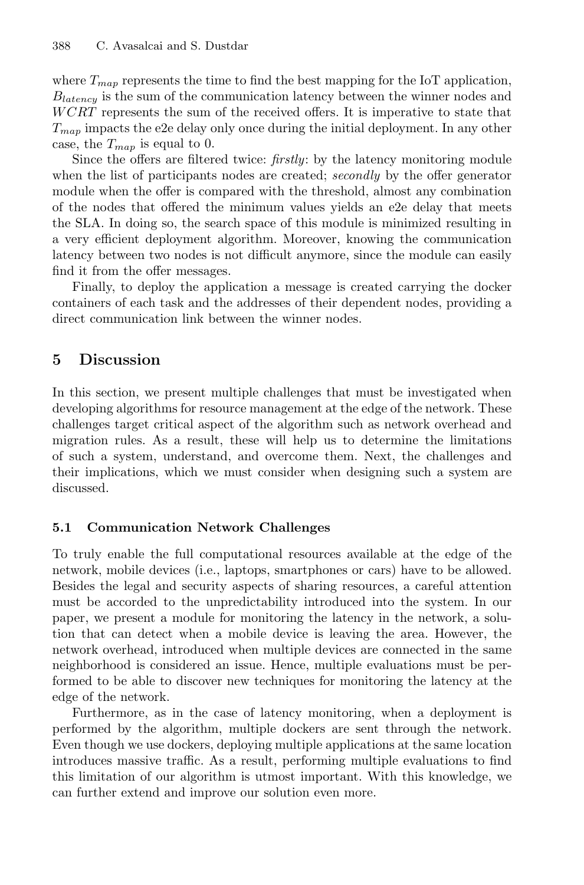where  $T_{map}$  represents the time to find the best mapping for the IoT application, *Blatency* is the sum of the communication latency between the winner nodes and *W CRT* represents the sum of the received offers. It is imperative to state that *Tmap* impacts the e2e delay only once during the initial deployment. In any other case, the *Tmap* is equal to 0.

Since the offers are filtered twice: *firstly*: by the latency monitoring module when the list of participants nodes are created; *secondly* by the offer generator module when the offer is compared with the threshold, almost any combination of the nodes that offered the minimum values yields an e2e delay that meets the SLA. In doing so, the search space of this module is minimized resulting in a very efficient deployment algorithm. Moreover, knowing the communication latency between two nodes is not difficult anymore, since the module can easily find it from the offer messages.

Finally, to deploy the application a message is created carrying the docker containers of each task and the addresses of their dependent nodes, providing a direct communication link between the winner nodes.

# <span id="page-11-0"></span>**5 Discussion**

In this section, we present multiple challenges that must be investigated when developing algorithms for resource management at the edge of the network. These challenges target critical aspect of the algorithm such as network overhead and migration rules. As a result, these will help us to determine the limitations of such a system, understand, and overcome them. Next, the challenges and their implications, which we must consider when designing such a system are discussed.

### **5.1 Communication Network Challenges**

To truly enable the full computational resources available at the edge of the network, mobile devices (i.e., laptops, smartphones or cars) have to be allowed. Besides the legal and security aspects of sharing resources, a careful attention must be accorded to the unpredictability introduced into the system. In our paper, we present a module for monitoring the latency in the network, a solution that can detect when a mobile device is leaving the area. However, the network overhead, introduced when multiple devices are connected in the same neighborhood is considered an issue. Hence, multiple evaluations must be performed to be able to discover new techniques for monitoring the latency at the edge of the network.

Furthermore, as in the case of latency monitoring, when a deployment is performed by the algorithm, multiple dockers are sent through the network. Even though we use dockers, deploying multiple applications at the same location introduces massive traffic. As a result, performing multiple evaluations to find this limitation of our algorithm is utmost important. With this knowledge, we can further extend and improve our solution even more.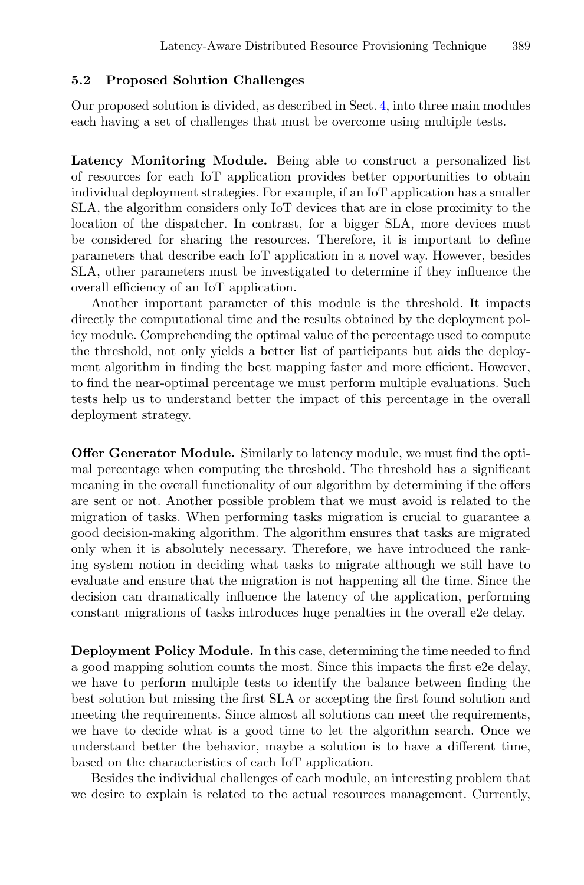#### **5.2 Proposed Solution Challenges**

Our proposed solution is divided, as described in Sect. [4,](#page-4-0) into three main modules each having a set of challenges that must be overcome using multiple tests.

**Latency Monitoring Module.** Being able to construct a personalized list of resources for each IoT application provides better opportunities to obtain individual deployment strategies. For example, if an IoT application has a smaller SLA, the algorithm considers only IoT devices that are in close proximity to the location of the dispatcher. In contrast, for a bigger SLA, more devices must be considered for sharing the resources. Therefore, it is important to define parameters that describe each IoT application in a novel way. However, besides SLA, other parameters must be investigated to determine if they influence the overall efficiency of an IoT application.

Another important parameter of this module is the threshold. It impacts directly the computational time and the results obtained by the deployment policy module. Comprehending the optimal value of the percentage used to compute the threshold, not only yields a better list of participants but aids the deployment algorithm in finding the best mapping faster and more efficient. However, to find the near-optimal percentage we must perform multiple evaluations. Such tests help us to understand better the impact of this percentage in the overall deployment strategy.

**Offer Generator Module.** Similarly to latency module, we must find the optimal percentage when computing the threshold. The threshold has a significant meaning in the overall functionality of our algorithm by determining if the offers are sent or not. Another possible problem that we must avoid is related to the migration of tasks. When performing tasks migration is crucial to guarantee a good decision-making algorithm. The algorithm ensures that tasks are migrated only when it is absolutely necessary. Therefore, we have introduced the ranking system notion in deciding what tasks to migrate although we still have to evaluate and ensure that the migration is not happening all the time. Since the decision can dramatically influence the latency of the application, performing constant migrations of tasks introduces huge penalties in the overall e2e delay.

**Deployment Policy Module.** In this case, determining the time needed to find a good mapping solution counts the most. Since this impacts the first e2e delay, we have to perform multiple tests to identify the balance between finding the best solution but missing the first SLA or accepting the first found solution and meeting the requirements. Since almost all solutions can meet the requirements, we have to decide what is a good time to let the algorithm search. Once we understand better the behavior, maybe a solution is to have a different time, based on the characteristics of each IoT application.

Besides the individual challenges of each module, an interesting problem that we desire to explain is related to the actual resources management. Currently,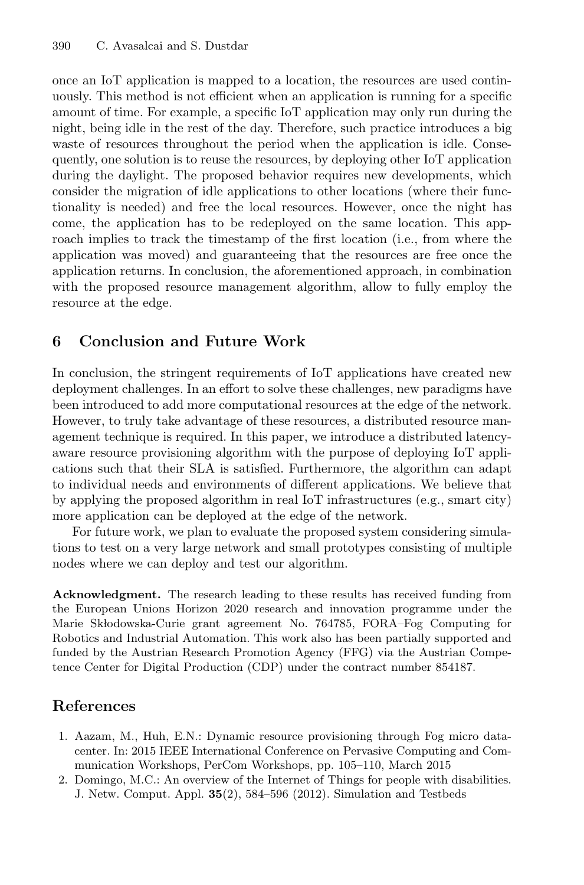once an IoT application is mapped to a location, the resources are used continuously. This method is not efficient when an application is running for a specific amount of time. For example, a specific IoT application may only run during the night, being idle in the rest of the day. Therefore, such practice introduces a big waste of resources throughout the period when the application is idle. Consequently, one solution is to reuse the resources, by deploying other IoT application during the daylight. The proposed behavior requires new developments, which consider the migration of idle applications to other locations (where their functionality is needed) and free the local resources. However, once the night has come, the application has to be redeployed on the same location. This approach implies to track the timestamp of the first location (i.e., from where the application was moved) and guaranteeing that the resources are free once the application returns. In conclusion, the aforementioned approach, in combination with the proposed resource management algorithm, allow to fully employ the resource at the edge.

# <span id="page-13-1"></span>**6 Conclusion and Future Work**

In conclusion, the stringent requirements of IoT applications have created new deployment challenges. In an effort to solve these challenges, new paradigms have been introduced to add more computational resources at the edge of the network. However, to truly take advantage of these resources, a distributed resource management technique is required. In this paper, we introduce a distributed latencyaware resource provisioning algorithm with the purpose of deploying IoT applications such that their SLA is satisfied. Furthermore, the algorithm can adapt to individual needs and environments of different applications. We believe that by applying the proposed algorithm in real IoT infrastructures (e.g., smart city) more application can be deployed at the edge of the network.

For future work, we plan to evaluate the proposed system considering simulations to test on a very large network and small prototypes consisting of multiple nodes where we can deploy and test our algorithm.

**Acknowledgment.** The research leading to these results has received funding from the European Unions Horizon 2020 research and innovation programme under the Marie Sklodowska-Curie grant agreement No. 764785, FORA–Fog Computing for Robotics and Industrial Automation. This work also has been partially supported and funded by the Austrian Research Promotion Agency (FFG) via the Austrian Competence Center for Digital Production (CDP) under the contract number 854187.

# **References**

- <span id="page-13-2"></span>1. Aazam, M., Huh, E.N.: Dynamic resource provisioning through Fog micro datacenter. In: 2015 IEEE International Conference on Pervasive Computing and Communication Workshops, PerCom Workshops, pp. 105–110, March 2015
- <span id="page-13-0"></span>2. Domingo, M.C.: An overview of the Internet of Things for people with disabilities. J. Netw. Comput. Appl. **35**(2), 584–596 (2012). Simulation and Testbeds